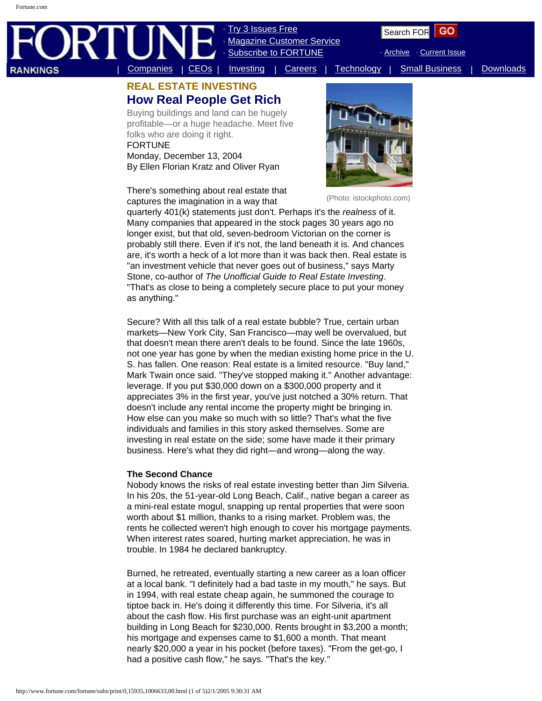# | [Companies](http://www.fortune.com/fortune/companies) | [CEOs](http://www.fortune.com/fortune/ceo) | [Investing](http://www.fortune.com/fortune/investing) | [Careers](http://www.fortune.com/fortune/careers) | [Technology](http://www.fortune.com/fortune/technology) | [Small Business](http://www.fortune.com/fortune/smallbusiness) | [Downloads](http://www.fortune.com/fortune/pdf)

**[Try 3 Issues Free](https://subs.timeinc.net/CampaignHandler/foab?source_id=7) Magazine Customer Service** 

[Subscribe to FORTUNE](https://subs.timeinc.net/CampaignHandler/FOcc?source_id=1)

· [Archive](http://www.fortune.com/fortune/information/magarchive) · [Current Issue](http://www.fortune.com/fortune/information/currentissue)

# **REAL ESTATE INVESTING How Real People Get Rich**

Buying buildings and land can be hugely profitable—or a huge headache. Meet five folks who are doing it right. FORTUNE

Monday, December 13, 2004 By Ellen Florian Kratz and Oliver Ryan

There's something about real estate that captures the imagination in a way that



(Photo: istockphoto.com)

quarterly 401(k) statements just don't. Perhaps it's the *realness* of it. Many companies that appeared in the stock pages 30 years ago no longer exist, but that old, seven-bedroom Victorian on the corner is probably still there. Even if it's not, the land beneath it is. And chances are, it's worth a heck of a lot more than it was back then. Real estate is "an investment vehicle that never goes out of business," says Marty Stone, co-author of *The Unofficial Guide to Real Estate Investing*. "That's as close to being a completely secure place to put your money as anything."

Secure? With all this talk of a real estate bubble? True, certain urban markets—New York City, San Francisco—may well be overvalued, but that doesn't mean there aren't deals to be found. Since the late 1960s, not one year has gone by when the median existing home price in the U. S. has fallen. One reason: Real estate is a limited resource. "Buy land," Mark Twain once said. "They've stopped making it." Another advantage: leverage. If you put \$30,000 down on a \$300,000 property and it appreciates 3% in the first year, you've just notched a 30% return. That doesn't include any rental income the property might be bringing in. How else can you make so much with so little? That's what the five individuals and families in this story asked themselves. Some are investing in real estate on the side; some have made it their primary business. Here's what they did right—and wrong—along the way. **ANDRES**<br> **EXAL ESTATE INVESTING** Subscribe the community strength of the strength of  $\mathbf{R}^T$  and  $\mathbf{R}^T$  and  $\mathbf{R}^T$  and  $\mathbf{R}^T$  and  $\mathbf{R}^T$  and  $\mathbf{R}^T$  and  $\mathbf{R}^T$  and  $\mathbf{R}^T$  and  $\mathbf{R}^T$  and

## **The Second Chance**

Nobody knows the risks of real estate investing better than Jim Silveria. In his 20s, the 51-year-old Long Beach, Calif., native began a career as a mini-real estate mogul, snapping up rental properties that were soon worth about \$1 million, thanks to a rising market. Problem was, the rents he collected weren't high enough to cover his mortgage payments. When interest rates soared, hurting market appreciation, he was in trouble. In 1984 he declared bankruptcy.

Burned, he retreated, eventually starting a new career as a loan officer at a local bank. "I definitely had a bad taste in my mouth," he says. But in 1994, with real estate cheap again, he summoned the courage to tiptoe back in. He's doing it differently this time. For Silveria, it's all about the cash flow. His first purchase was an eight-unit apartment building in Long Beach for \$230,000. Rents brought in \$3,200 a month; his mortgage and expenses came to \$1,600 a month. That meant nearly \$20,000 a year in his pocket (before taxes). "From the get-go, I had a positive cash flow," he says. "That's the key."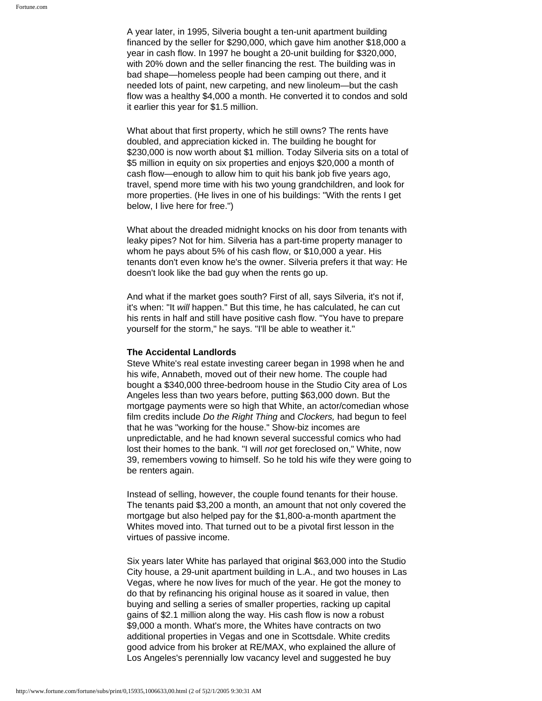A year later, in 1995, Silveria bought a ten-unit apartment building financed by the seller for \$290,000, which gave him another \$18,000 a year in cash flow. In 1997 he bought a 20-unit building for \$320,000, with 20% down and the seller financing the rest. The building was in bad shape—homeless people had been camping out there, and it needed lots of paint, new carpeting, and new linoleum—but the cash flow was a healthy \$4,000 a month. He converted it to condos and sold it earlier this year for \$1.5 million.

What about that first property, which he still owns? The rents have doubled, and appreciation kicked in. The building he bought for \$230,000 is now worth about \$1 million. Today Silveria sits on a total of \$5 million in equity on six properties and enjoys \$20,000 a month of cash flow—enough to allow him to quit his bank job five years ago, travel, spend more time with his two young grandchildren, and look for more properties. (He lives in one of his buildings: "With the rents I get below, I live here for free.")

What about the dreaded midnight knocks on his door from tenants with leaky pipes? Not for him. Silveria has a part-time property manager to whom he pays about 5% of his cash flow, or \$10,000 a year. His tenants don't even know he's the owner. Silveria prefers it that way: He doesn't look like the bad guy when the rents go up.

And what if the market goes south? First of all, says Silveria, it's not if, it's when: "It *will* happen." But this time, he has calculated, he can cut his rents in half and still have positive cash flow. "You have to prepare yourself for the storm," he says. "I'll be able to weather it."

#### **The Accidental Landlords**

Steve White's real estate investing career began in 1998 when he and his wife, Annabeth, moved out of their new home. The couple had bought a \$340,000 three-bedroom house in the Studio City area of Los Angeles less than two years before, putting \$63,000 down. But the mortgage payments were so high that White, an actor/comedian whose film credits include *Do the Right Thing* and *Clockers,* had begun to feel that he was "working for the house." Show-biz incomes are unpredictable, and he had known several successful comics who had lost their homes to the bank. "I will *not* get foreclosed on," White, now 39, remembers vowing to himself. So he told his wife they were going to be renters again.

Instead of selling, however, the couple found tenants for their house. The tenants paid \$3,200 a month, an amount that not only covered the mortgage but also helped pay for the \$1,800-a-month apartment the Whites moved into. That turned out to be a pivotal first lesson in the virtues of passive income.

Six years later White has parlayed that original \$63,000 into the Studio City house, a 29-unit apartment building in L.A., and two houses in Las Vegas, where he now lives for much of the year. He got the money to do that by refinancing his original house as it soared in value, then buying and selling a series of smaller properties, racking up capital gains of \$2.1 million along the way. His cash flow is now a robust \$9,000 a month. What's more, the Whites have contracts on two additional properties in Vegas and one in Scottsdale. White credits good advice from his broker at RE/MAX, who explained the allure of Los Angeles's perennially low vacancy level and suggested he buy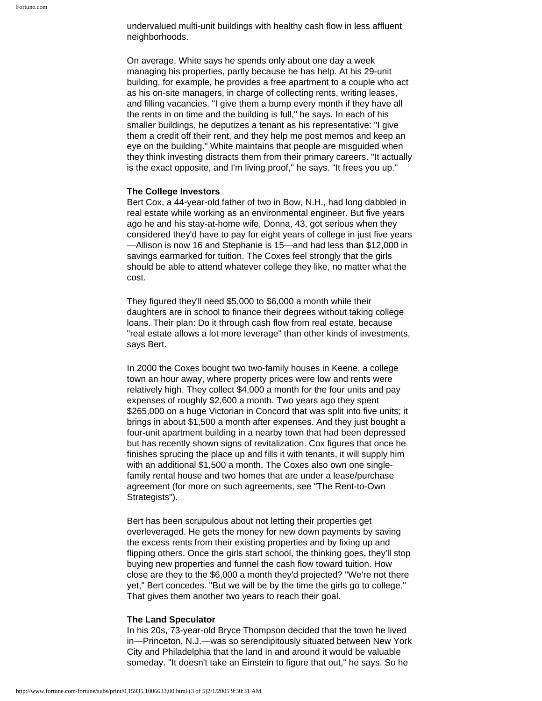undervalued multi-unit buildings with healthy cash flow in less affluent neighborhoods.

On average, White says he spends only about one day a week managing his properties, partly because he has help. At his 29-unit building, for example, he provides a free apartment to a couple who act as his on-site managers, in charge of collecting rents, writing leases, and filling vacancies. "I give them a bump every month if they have all the rents in on time and the building is full," he says. In each of his smaller buildings, he deputizes a tenant as his representative: "I give them a credit off their rent, and they help me post memos and keep an eye on the building." White maintains that people are misguided when they think investing distracts them from their primary careers. "It actually is the exact opposite, and I'm living proof," he says. "It frees you up."

#### **The College Investors**

Bert Cox, a 44-year-old father of two in Bow, N.H., had long dabbled in real estate while working as an environmental engineer. But five years ago he and his stay-at-home wife, Donna, 43, got serious when they considered they'd have to pay for eight years of college in just five years —Allison is now 16 and Stephanie is 15—and had less than \$12,000 in savings earmarked for tuition. The Coxes feel strongly that the girls should be able to attend whatever college they like, no matter what the cost.

They figured they'll need \$5,000 to \$6,000 a month while their daughters are in school to finance their degrees without taking college loans. Their plan: Do it through cash flow from real estate, because "real estate allows a lot more leverage" than other kinds of investments, says Bert.

In 2000 the Coxes bought two two-family houses in Keene, a college town an hour away, where property prices were low and rents were relatively high. They collect \$4,000 a month for the four units and pay expenses of roughly \$2,600 a month. Two years ago they spent \$265,000 on a huge Victorian in Concord that was split into five units; it brings in about \$1,500 a month after expenses. And they just bought a four-unit apartment building in a nearby town that had been depressed but has recently shown signs of revitalization. Cox figures that once he finishes sprucing the place up and fills it with tenants, it will supply him with an additional \$1,500 a month. The Coxes also own one singlefamily rental house and two homes that are under a lease/purchase agreement (for more on such agreements, see "The Rent-to-Own Strategists").

Bert has been scrupulous about not letting their properties get overleveraged. He gets the money for new down payments by saving the excess rents from their existing properties and by fixing up and flipping others. Once the girls start school, the thinking goes, they'll stop buying new properties and funnel the cash flow toward tuition. How close are they to the \$6,000 a month they'd projected? "We're not there yet," Bert concedes. "But we will be by the time the girls go to college." That gives them another two years to reach their goal.

#### **The Land Speculator**

In his 20s, 73-year-old Bryce Thompson decided that the town he lived in—Princeton, N.J.—was so serendipitously situated between New York City and Philadelphia that the land in and around it would be valuable someday. "It doesn't take an Einstein to figure that out," he says. So he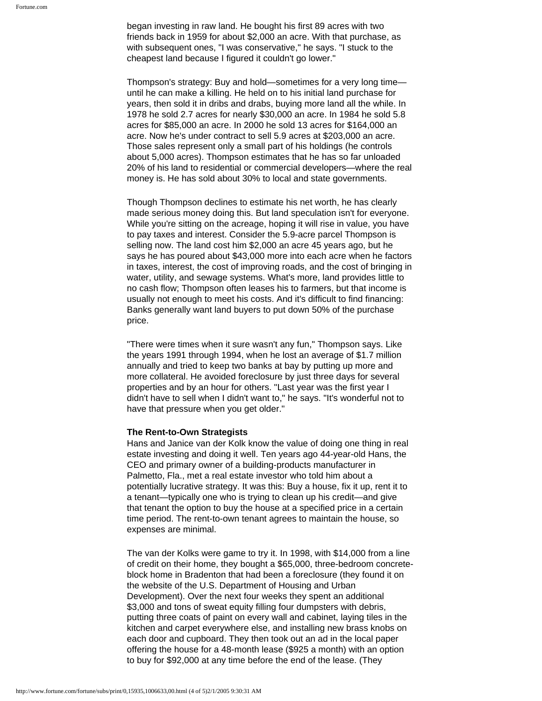began investing in raw land. He bought his first 89 acres with two friends back in 1959 for about \$2,000 an acre. With that purchase, as with subsequent ones, "I was conservative," he says. "I stuck to the cheapest land because I figured it couldn't go lower."

Thompson's strategy: Buy and hold—sometimes for a very long time until he can make a killing. He held on to his initial land purchase for years, then sold it in dribs and drabs, buying more land all the while. In 1978 he sold 2.7 acres for nearly \$30,000 an acre. In 1984 he sold 5.8 acres for \$85,000 an acre. In 2000 he sold 13 acres for \$164,000 an acre. Now he's under contract to sell 5.9 acres at \$203,000 an acre. Those sales represent only a small part of his holdings (he controls about 5,000 acres). Thompson estimates that he has so far unloaded 20% of his land to residential or commercial developers—where the real money is. He has sold about 30% to local and state governments.

Though Thompson declines to estimate his net worth, he has clearly made serious money doing this. But land speculation isn't for everyone. While you're sitting on the acreage, hoping it will rise in value, you have to pay taxes and interest. Consider the 5.9-acre parcel Thompson is selling now. The land cost him \$2,000 an acre 45 years ago, but he says he has poured about \$43,000 more into each acre when he factors in taxes, interest, the cost of improving roads, and the cost of bringing in water, utility, and sewage systems. What's more, land provides little to no cash flow; Thompson often leases his to farmers, but that income is usually not enough to meet his costs. And it's difficult to find financing: Banks generally want land buyers to put down 50% of the purchase price.

"There were times when it sure wasn't any fun," Thompson says. Like the years 1991 through 1994, when he lost an average of \$1.7 million annually and tried to keep two banks at bay by putting up more and more collateral. He avoided foreclosure by just three days for several properties and by an hour for others. "Last year was the first year I didn't have to sell when I didn't want to," he says. "It's wonderful not to have that pressure when you get older."

#### **The Rent-to-Own Strategists**

Hans and Janice van der Kolk know the value of doing one thing in real estate investing and doing it well. Ten years ago 44-year-old Hans, the CEO and primary owner of a building-products manufacturer in Palmetto, Fla., met a real estate investor who told him about a potentially lucrative strategy. It was this: Buy a house, fix it up, rent it to a tenant—typically one who is trying to clean up his credit—and give that tenant the option to buy the house at a specified price in a certain time period. The rent-to-own tenant agrees to maintain the house, so expenses are minimal.

The van der Kolks were game to try it. In 1998, with \$14,000 from a line of credit on their home, they bought a \$65,000, three-bedroom concreteblock home in Bradenton that had been a foreclosure (they found it on the website of the U.S. Department of Housing and Urban Development). Over the next four weeks they spent an additional \$3,000 and tons of sweat equity filling four dumpsters with debris, putting three coats of paint on every wall and cabinet, laying tiles in the kitchen and carpet everywhere else, and installing new brass knobs on each door and cupboard. They then took out an ad in the local paper offering the house for a 48-month lease (\$925 a month) with an option to buy for \$92,000 at any time before the end of the lease. (They